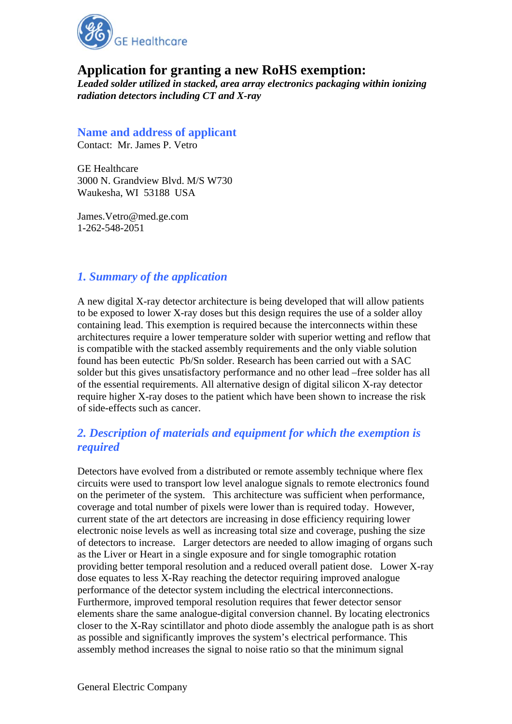

# **Application for granting a new RoHS exemption:**

*Leaded solder utilized in stacked, area array electronics packaging within ionizing radiation detectors including CT and X-ray* 

### **Name and address of applicant**

Contact: Mr. James P. Vetro

GE Healthcare 3000 N. Grandview Blvd. M/S W730 Waukesha, WI 53188 USA

James.Vetro@med.ge.com 1-262-548-2051

### *1. Summary of the application*

A new digital X-ray detector architecture is being developed that will allow patients to be exposed to lower X-ray doses but this design requires the use of a solder alloy containing lead. This exemption is required because the interconnects within these architectures require a lower temperature solder with superior wetting and reflow that is compatible with the stacked assembly requirements and the only viable solution found has been eutectic Pb/Sn solder. Research has been carried out with a SAC solder but this gives unsatisfactory performance and no other lead –free solder has all of the essential requirements. All alternative design of digital silicon X-ray detector require higher X-ray doses to the patient which have been shown to increase the risk of side-effects such as cancer.

### *2. Description of materials and equipment for which the exemption is required*

Detectors have evolved from a distributed or remote assembly technique where flex circuits were used to transport low level analogue signals to remote electronics found on the perimeter of the system. This architecture was sufficient when performance, coverage and total number of pixels were lower than is required today. However, current state of the art detectors are increasing in dose efficiency requiring lower electronic noise levels as well as increasing total size and coverage, pushing the size of detectors to increase. Larger detectors are needed to allow imaging of organs such as the Liver or Heart in a single exposure and for single tomographic rotation providing better temporal resolution and a reduced overall patient dose. Lower X-ray dose equates to less X-Ray reaching the detector requiring improved analogue performance of the detector system including the electrical interconnections. Furthermore, improved temporal resolution requires that fewer detector sensor elements share the same analogue-digital conversion channel. By locating electronics closer to the X-Ray scintillator and photo diode assembly the analogue path is as short as possible and significantly improves the system's electrical performance. This assembly method increases the signal to noise ratio so that the minimum signal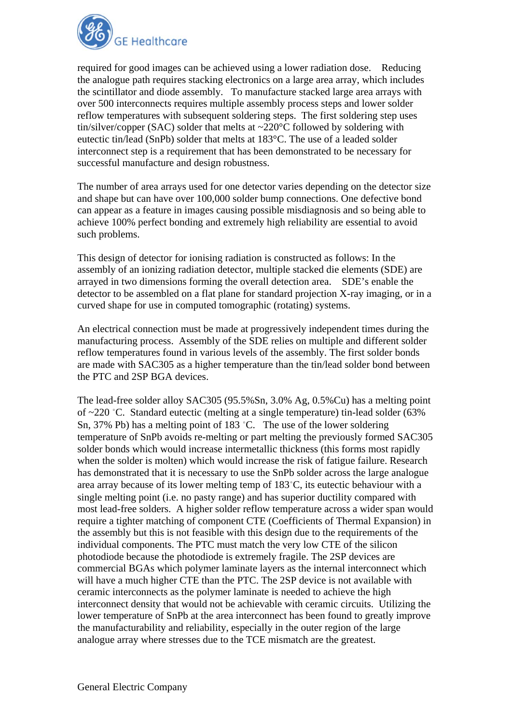

required for good images can be achieved using a lower radiation dose. Reducing the analogue path requires stacking electronics on a large area array, which includes the scintillator and diode assembly. To manufacture stacked large area arrays with over 500 interconnects requires multiple assembly process steps and lower solder reflow temperatures with subsequent soldering steps. The first soldering step uses tin/silver/copper (SAC) solder that melts at  $\sim$ 220 $\degree$ C followed by soldering with eutectic tin/lead (SnPb) solder that melts at 183°C. The use of a leaded solder interconnect step is a requirement that has been demonstrated to be necessary for successful manufacture and design robustness.

The number of area arrays used for one detector varies depending on the detector size and shape but can have over 100,000 solder bump connections. One defective bond can appear as a feature in images causing possible misdiagnosis and so being able to achieve 100% perfect bonding and extremely high reliability are essential to avoid such problems.

This design of detector for ionising radiation is constructed as follows: In the assembly of an ionizing radiation detector, multiple stacked die elements (SDE) are arrayed in two dimensions forming the overall detection area. SDE's enable the detector to be assembled on a flat plane for standard projection X-ray imaging, or in a curved shape for use in computed tomographic (rotating) systems.

An electrical connection must be made at progressively independent times during the manufacturing process. Assembly of the SDE relies on multiple and different solder reflow temperatures found in various levels of the assembly. The first solder bonds are made with SAC305 as a higher temperature than the tin/lead solder bond between the PTC and 2SP BGA devices.

The lead-free solder alloy SAC305 (95.5%Sn, 3.0% Ag, 0.5%Cu) has a melting point of ~220 ˚C. Standard eutectic (melting at a single temperature) tin-lead solder (63% Sn, 37% Pb) has a melting point of 183 ˚C. The use of the lower soldering temperature of SnPb avoids re-melting or part melting the previously formed SAC305 solder bonds which would increase intermetallic thickness (this forms most rapidly when the solder is molten) which would increase the risk of fatigue failure. Research has demonstrated that it is necessary to use the SnPb solder across the large analogue area array because of its lower melting temp of 183˚C, its eutectic behaviour with a single melting point (i.e. no pasty range) and has superior ductility compared with most lead-free solders. A higher solder reflow temperature across a wider span would require a tighter matching of component CTE (Coefficients of Thermal Expansion) in the assembly but this is not feasible with this design due to the requirements of the individual components. The PTC must match the very low CTE of the silicon photodiode because the photodiode is extremely fragile. The 2SP devices are commercial BGAs which polymer laminate layers as the internal interconnect which will have a much higher CTE than the PTC. The 2SP device is not available with ceramic interconnects as the polymer laminate is needed to achieve the high interconnect density that would not be achievable with ceramic circuits. Utilizing the lower temperature of SnPb at the area interconnect has been found to greatly improve the manufacturability and reliability, especially in the outer region of the large analogue array where stresses due to the TCE mismatch are the greatest.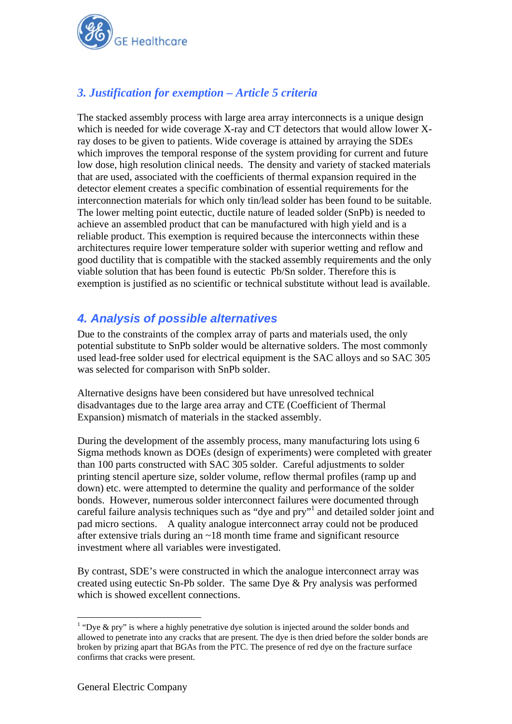

# *3. Justification for exemption – Article 5 criteria*

The stacked assembly process with large area array interconnects is a unique design which is needed for wide coverage X-ray and CT detectors that would allow lower Xray doses to be given to patients. Wide coverage is attained by arraying the SDEs which improves the temporal response of the system providing for current and future low dose, high resolution clinical needs. The density and variety of stacked materials that are used, associated with the coefficients of thermal expansion required in the detector element creates a specific combination of essential requirements for the interconnection materials for which only tin/lead solder has been found to be suitable. The lower melting point eutectic, ductile nature of leaded solder (SnPb) is needed to achieve an assembled product that can be manufactured with high yield and is a reliable product. This exemption is required because the interconnects within these architectures require lower temperature solder with superior wetting and reflow and good ductility that is compatible with the stacked assembly requirements and the only viable solution that has been found is eutectic Pb/Sn solder. Therefore this is exemption is justified as no scientific or technical substitute without lead is available.

## *4. Analysis of possible alternatives*

Due to the constraints of the complex array of parts and materials used, the only potential substitute to SnPb solder would be alternative solders. The most commonly used lead-free solder used for electrical equipment is the SAC alloys and so SAC 305 was selected for comparison with SnPb solder.

Alternative designs have been considered but have unresolved technical disadvantages due to the large area array and CTE (Coefficient of Thermal Expansion) mismatch of materials in the stacked assembly.

During the development of the assembly process, many manufacturing lots using 6 Sigma methods known as DOEs (design of experiments) were completed with greater than 100 parts constructed with SAC 305 solder. Careful adjustments to solder printing stencil aperture size, solder volume, reflow thermal profiles (ramp up and down) etc. were attempted to determine the quality and performance of the solder bonds. However, numerous solder interconnect failures were documented through careful failure analysis techniques such as "dye and pry"<sup>1</sup> and detailed solder joint and pad micro sections. A quality analogue interconnect array could not be produced after extensive trials during an ~18 month time frame and significant resource investment where all variables were investigated.

By contrast, SDE's were constructed in which the analogue interconnect array was created using eutectic Sn-Pb solder. The same Dye & Pry analysis was performed which is showed excellent connections.

1

<sup>&</sup>lt;sup>1</sup> "Dye & pry" is where a highly penetrative dye solution is injected around the solder bonds and allowed to penetrate into any cracks that are present. The dye is then dried before the solder bonds are broken by prizing apart that BGAs from the PTC. The presence of red dye on the fracture surface confirms that cracks were present.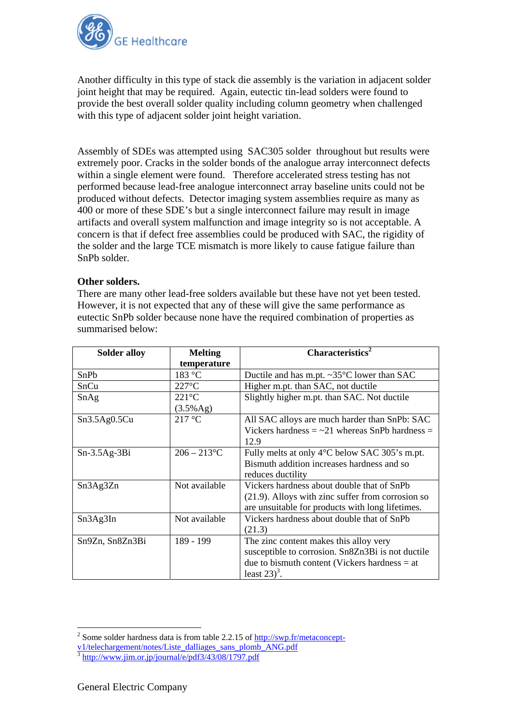

Another difficulty in this type of stack die assembly is the variation in adjacent solder joint height that may be required. Again, eutectic tin-lead solders were found to provide the best overall solder quality including column geometry when challenged with this type of adjacent solder joint height variation.

Assembly of SDEs was attempted using SAC305 solder throughout but results were extremely poor. Cracks in the solder bonds of the analogue array interconnect defects within a single element were found. Therefore accelerated stress testing has not performed because lead-free analogue interconnect array baseline units could not be produced without defects. Detector imaging system assemblies require as many as 400 or more of these SDE's but a single interconnect failure may result in image artifacts and overall system malfunction and image integrity so is not acceptable. A concern is that if defect free assemblies could be produced with SAC, the rigidity of the solder and the large TCE mismatch is more likely to cause fatigue failure than SnPb solder.

#### **Other solders.**

There are many other lead-free solders available but these have not yet been tested. However, it is not expected that any of these will give the same performance as eutectic SnPb solder because none have the required combination of properties as summarised below:

| <b>Solder alloy</b> | <b>Melting</b>  | $\overline{\text{Characteristics}}^2$                    |
|---------------------|-----------------|----------------------------------------------------------|
|                     | temperature     |                                                          |
| SnPb                | 183 °C          | Ductile and has m.pt. $\sim 35^{\circ}$ C lower than SAC |
| SnCu                | $227^{\circ}$ C | Higher m.pt. than SAC, not ductile                       |
| SnAg                | $221^{\circ}$ C | Slightly higher m.pt. than SAC. Not ductile              |
|                     | (3.5%Ag)        |                                                          |
| Sn3.5Ag0.5Cu        | 217 °C          | All SAC alloys are much harder than SnPb: SAC            |
|                     |                 | Vickers hardness $=$ $\sim$ 21 whereas SnPb hardness $=$ |
|                     |                 | 12.9                                                     |
| $Sn-3.5Ag-3Bi$      | $206 - 213$ °C  | Fully melts at only 4°C below SAC 305's m.pt.            |
|                     |                 | Bismuth addition increases hardness and so               |
|                     |                 | reduces ductility                                        |
| Sn3Ag3Zn            | Not available   | Vickers hardness about double that of SnPb               |
|                     |                 | (21.9). Alloys with zinc suffer from corrosion so        |
|                     |                 | are unsuitable for products with long lifetimes.         |
| Sn3Ag3In            | Not available   | Vickers hardness about double that of SnPb               |
|                     |                 | (21.3)                                                   |
| Sn9Zn, Sn8Zn3Bi     | 189 - 199       | The zinc content makes this alloy very                   |
|                     |                 | susceptible to corrosion. Sn8Zn3Bi is not ductile        |
|                     |                 | due to bismuth content (Vickers hardness $=$ at          |
|                     |                 | least $23)^3$ .                                          |

<sup>1</sup> <sup>2</sup> Some solder hardness data is from table 2.2.15 of  $\frac{http://swp.fr/metaconcept-$ 

v1/telechargement/notes/Liste\_dalliages\_sans\_plomb\_ANG.pdf<br> $\frac{3 \text{ http://www.jm.or.jp/journal/e/pdf3/43/08/1797.pdf}}{3 \text{ http://www.jim.or.jp/journal/e/pdf3/43/08/1797.pdf}}$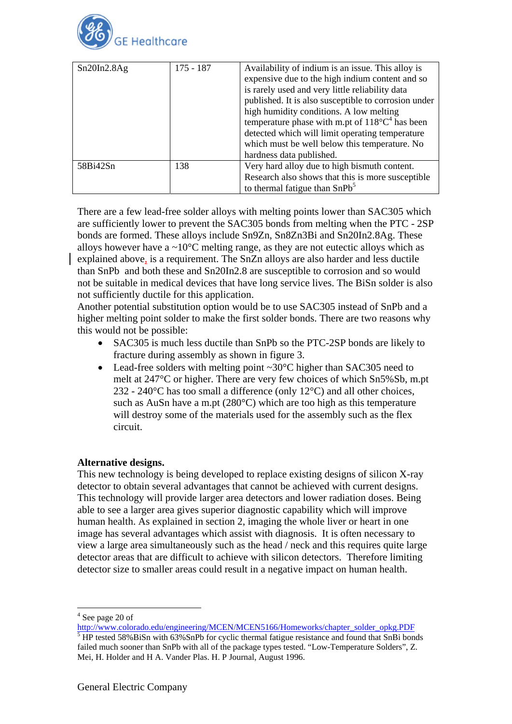

| Sn20In2.8Ag | $175 - 187$ | Availability of indium is an issue. This alloy is<br>expensive due to the high indium content and so<br>is rarely used and very little reliability data<br>published. It is also susceptible to corrosion under<br>high humidity conditions. A low melting<br>temperature phase with m.pt of $118^{\circ}C^4$ has been<br>detected which will limit operating temperature<br>which must be well below this temperature. No<br>hardness data published. |
|-------------|-------------|--------------------------------------------------------------------------------------------------------------------------------------------------------------------------------------------------------------------------------------------------------------------------------------------------------------------------------------------------------------------------------------------------------------------------------------------------------|
| 58Bi42Sn    | 138         | Very hard alloy due to high bismuth content.<br>Research also shows that this is more susceptible<br>to thermal fatigue than $SnPb5$                                                                                                                                                                                                                                                                                                                   |

There are a few lead-free solder alloys with melting points lower than SAC305 which are sufficiently lower to prevent the SAC305 bonds from melting when the PTC - 2SP bonds are formed. These alloys include Sn9Zn, Sn8Zn3Bi and Sn20In2.8Ag. These alloys however have a  $\sim 10^{\circ}$ C melting range, as they are not eutectic alloys which as explained above, is a requirement. The SnZn alloys are also harder and less ductile than SnPb and both these and Sn20In2.8 are susceptible to corrosion and so would not be suitable in medical devices that have long service lives. The BiSn solder is also not sufficiently ductile for this application.

Another potential substitution option would be to use SAC305 instead of SnPb and a higher melting point solder to make the first solder bonds. There are two reasons why this would not be possible:

- SAC305 is much less ductile than SnPb so the PTC-2SP bonds are likely to fracture during assembly as shown in figure 3.
- Lead-free solders with melting point ~30°C higher than SAC305 need to melt at 247°C or higher. There are very few choices of which Sn5%Sb, m.pt 232 - 240 $^{\circ}$ C has too small a difference (only 12 $^{\circ}$ C) and all other choices, such as AuSn have a m.pt (280°C) which are too high as this temperature will destroy some of the materials used for the assembly such as the flex circuit.

### **Alternative designs.**

This new technology is being developed to replace existing designs of silicon X-ray detector to obtain several advantages that cannot be achieved with current designs. This technology will provide larger area detectors and lower radiation doses. Being able to see a larger area gives superior diagnostic capability which will improve human health. As explained in section 2, imaging the whole liver or heart in one image has several advantages which assist with diagnosis. It is often necessary to view a large area simultaneously such as the head / neck and this requires quite large detector areas that are difficult to achieve with silicon detectors. Therefore limiting detector size to smaller areas could result in a negative impact on human health.

<u>.</u>

 $4$  See page 20 of See page 20 of

http://www.colorado.edu/engineering/MCEN/MCEN5166/Homeworks/chapter\_solder\_opkg.PDF<br>5 HD tosted 59% BiSp with 63% SpDh for qualia thermal fatigue resistance and found that SpBi bon HP tested 58%BiSn with 63%SnPb for cyclic thermal fatigue resistance and found that SnBi bonds failed much sooner than SnPb with all of the package types tested. "Low-Temperature Solders", Z. Mei, H. Holder and H A. Vander Plas. H. P Journal, August 1996.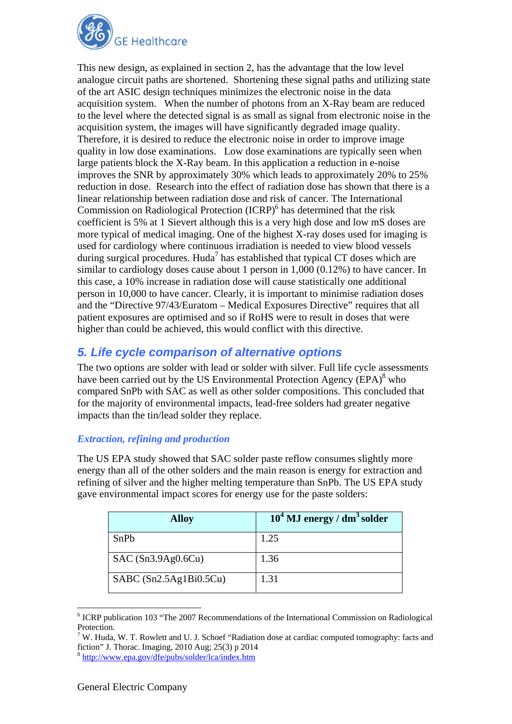

This new design, as explained in section 2, has the advantage that the low level analogue circuit paths are shortened. Shortening these signal paths and utilizing state of the art ASIC design techniques minimizes the electronic noise in the data acquisition system. When the number of photons from an X-Ray beam are reduced to the level where the detected signal is as small as signal from electronic noise in the acquisition system, the images will have significantly degraded image quality. Therefore, it is desired to reduce the electronic noise in order to improve image quality in low dose examinations. Low dose examinations are typically seen when large patients block the X-Ray beam. In this application a reduction in e-noise improves the SNR by approximately 30% which leads to approximately 20% to 25% reduction in dose. Research into the effect of radiation dose has shown that there is a linear relationship between radiation dose and risk of cancer. The International Commission on Radiological Protection (ICRP)<sup>6</sup> has determined that the risk coefficient is 5% at 1 Sievert although this is a very high dose and low mS doses are more typical of medical imaging. One of the highest X-ray doses used for imaging is used for cardiology where continuous irradiation is needed to view blood vessels during surgical procedures. Huda<sup>7</sup> has established that typical CT doses which are similar to cardiology doses cause about 1 person in 1,000 (0.12%) to have cancer. In this case, a 10% increase in radiation dose will cause statistically one additional person in 10,000 to have cancer. Clearly, it is important to minimise radiation doses and the "Directive 97/43/Euratom – Medical Exposures Directive" requires that all patient exposures are optimised and so if RoHS were to result in doses that were higher than could be achieved, this would conflict with this directive.

## *5. Life cycle comparison of alternative options*

The two options are solder with lead or solder with silver. Full life cycle assessments have been carried out by the US Environmental Protection Agency (EPA)<sup>8</sup> who compared SnPb with SAC as well as other solder compositions. This concluded that for the majority of environmental impacts, lead-free solders had greater negative impacts than the tin/lead solder they replace.

### *Extraction, refining and production*

The US EPA study showed that SAC solder paste reflow consumes slightly more energy than all of the other solders and the main reason is energy for extraction and refining of silver and the higher melting temperature than SnPb. The US EPA study gave environmental impact scores for energy use for the paste solders:

| <b>Alloy</b>           | $104$ MJ energy / dm <sup>3</sup> solder |
|------------------------|------------------------------------------|
| SnPb                   | 1.25                                     |
| SAC(Sn3.9Ag0.6Cu)      | 1.36                                     |
| SABC (Sn2.5Ag1Bi0.5Cu) | 1.31                                     |

<sup>&</sup>lt;u>.</u> <sup>6</sup> ICRP publication 103 "The 2007 Recommendations of the International Commission on Radiological Protection.

 $7$  W. Huda, W. T. Rowlett and U. J. Schoef "Radiation dose at cardiac computed tomography: facts and fiction" J. Thorac. Imaging, 2010 Aug; 25(3) p 2014

<sup>8</sup> http://www.epa.gov/dfe/pubs/solder/lca/index.htm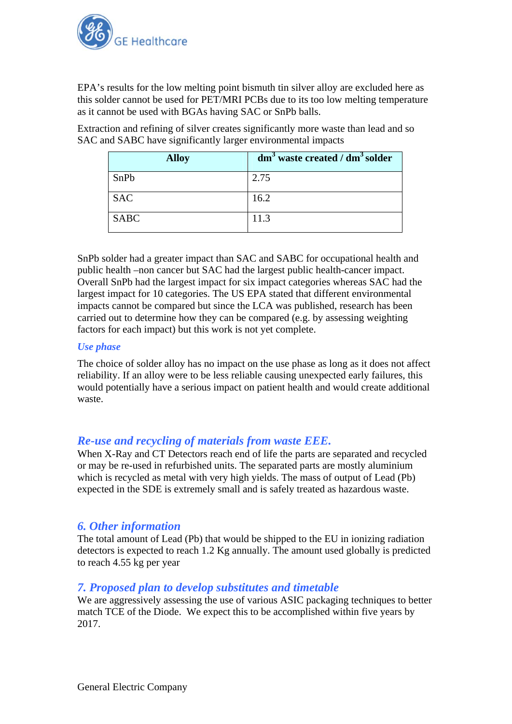

EPA's results for the low melting point bismuth tin silver alloy are excluded here as this solder cannot be used for PET/MRI PCBs due to its too low melting temperature as it cannot be used with BGAs having SAC or SnPb balls.

Extraction and refining of silver creates significantly more waste than lead and so SAC and SABC have significantly larger environmental impacts

| <b>Alloy</b> | $dm3$ waste created / $dm3$ solder |
|--------------|------------------------------------|
| SnPb         | 2.75                               |
| <b>SAC</b>   | 16.2                               |
| <b>SABC</b>  | 11.3                               |

SnPb solder had a greater impact than SAC and SABC for occupational health and public health –non cancer but SAC had the largest public health-cancer impact. Overall SnPb had the largest impact for six impact categories whereas SAC had the largest impact for 10 categories. The US EPA stated that different environmental impacts cannot be compared but since the LCA was published, research has been carried out to determine how they can be compared (e.g. by assessing weighting factors for each impact) but this work is not yet complete.

#### *Use phase*

The choice of solder alloy has no impact on the use phase as long as it does not affect reliability. If an alloy were to be less reliable causing unexpected early failures, this would potentially have a serious impact on patient health and would create additional waste.

### *Re-use and recycling of materials from waste EEE.*

When X-Ray and CT Detectors reach end of life the parts are separated and recycled or may be re-used in refurbished units. The separated parts are mostly aluminium which is recycled as metal with very high yields. The mass of output of Lead (Pb) expected in the SDE is extremely small and is safely treated as hazardous waste.

### *6. Other information*

The total amount of Lead (Pb) that would be shipped to the EU in ionizing radiation detectors is expected to reach 1.2 Kg annually. The amount used globally is predicted to reach 4.55 kg per year

### *7. Proposed plan to develop substitutes and timetable*

We are aggressively assessing the use of various ASIC packaging techniques to better match TCE of the Diode. We expect this to be accomplished within five years by 2017.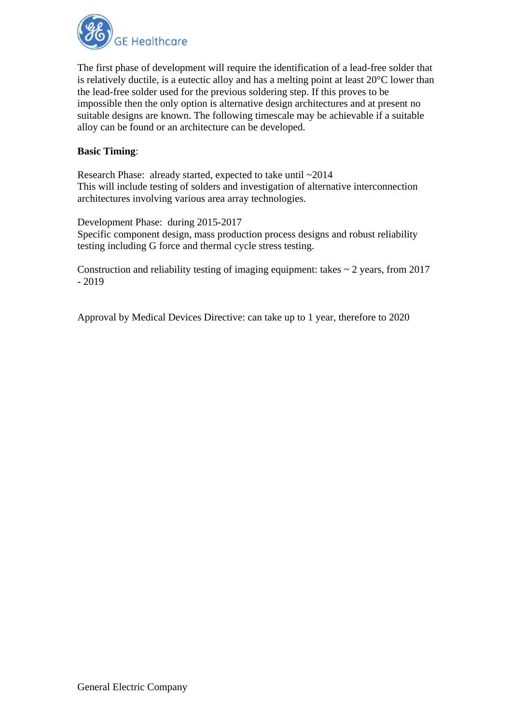

The first phase of development will require the identification of a lead-free solder that is relatively ductile, is a eutectic alloy and has a melting point at least 20°C lower than the lead-free solder used for the previous soldering step. If this proves to be impossible then the only option is alternative design architectures and at present no suitable designs are known. The following timescale may be achievable if a suitable alloy can be found or an architecture can be developed.

#### **Basic Timing**:

Research Phase: already started, expected to take until ~2014 This will include testing of solders and investigation of alternative interconnection architectures involving various area array technologies.

Development Phase: during 2015-2017

Specific component design, mass production process designs and robust reliability testing including G force and thermal cycle stress testing.

Construction and reliability testing of imaging equipment: takes  $\sim$  2 years, from 2017 - 2019

Approval by Medical Devices Directive: can take up to 1 year, therefore to 2020